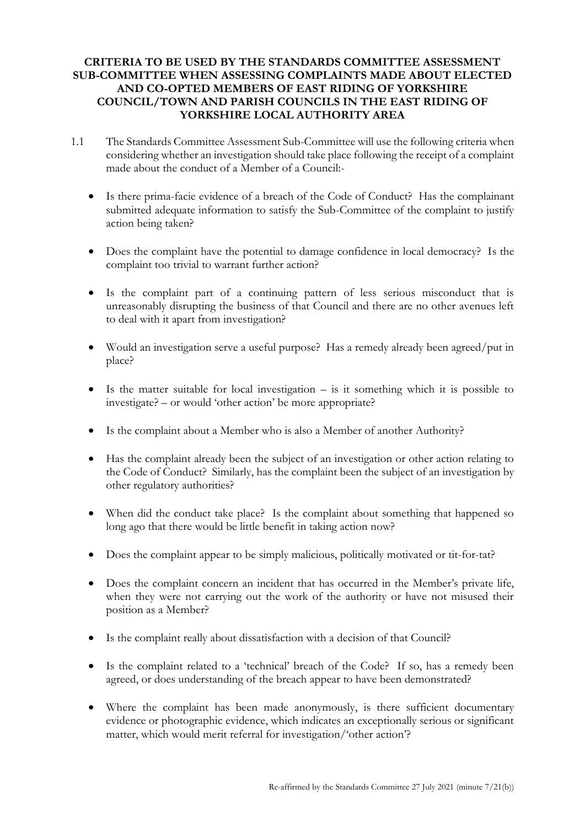## **CRITERIA TO BE USED BY THE STANDARDS COMMITTEE ASSESSMENT SUB-COMMITTEE WHEN ASSESSING COMPLAINTS MADE ABOUT ELECTED AND CO-OPTED MEMBERS OF EAST RIDING OF YORKSHIRE COUNCIL/TOWN AND PARISH COUNCILS IN THE EAST RIDING OF YORKSHIRE LOCAL AUTHORITY AREA**

- 1.1 The Standards Committee Assessment Sub-Committee will use the following criteria when considering whether an investigation should take place following the receipt of a complaint made about the conduct of a Member of a Council:-
	- Is there prima-facie evidence of a breach of the Code of Conduct? Has the complainant submitted adequate information to satisfy the Sub-Committee of the complaint to justify action being taken?
	- Does the complaint have the potential to damage confidence in local democracy? Is the complaint too trivial to warrant further action?
	- Is the complaint part of a continuing pattern of less serious misconduct that is unreasonably disrupting the business of that Council and there are no other avenues left to deal with it apart from investigation?
	- Would an investigation serve a useful purpose? Has a remedy already been agreed/put in place?
	- $\bullet$  Is the matter suitable for local investigation is it something which it is possible to investigate? – or would 'other action' be more appropriate?
	- Is the complaint about a Member who is also a Member of another Authority?
	- Has the complaint already been the subject of an investigation or other action relating to the Code of Conduct? Similarly, has the complaint been the subject of an investigation by other regulatory authorities?
	- When did the conduct take place? Is the complaint about something that happened so long ago that there would be little benefit in taking action now?
	- Does the complaint appear to be simply malicious, politically motivated or tit-for-tat?
	- Does the complaint concern an incident that has occurred in the Member's private life, when they were not carrying out the work of the authority or have not misused their position as a Member?
	- Is the complaint really about dissatisfaction with a decision of that Council?
	- Is the complaint related to a 'technical' breach of the Code? If so, has a remedy been agreed, or does understanding of the breach appear to have been demonstrated?
	- Where the complaint has been made anonymously, is there sufficient documentary evidence or photographic evidence, which indicates an exceptionally serious or significant matter, which would merit referral for investigation/'other action'?